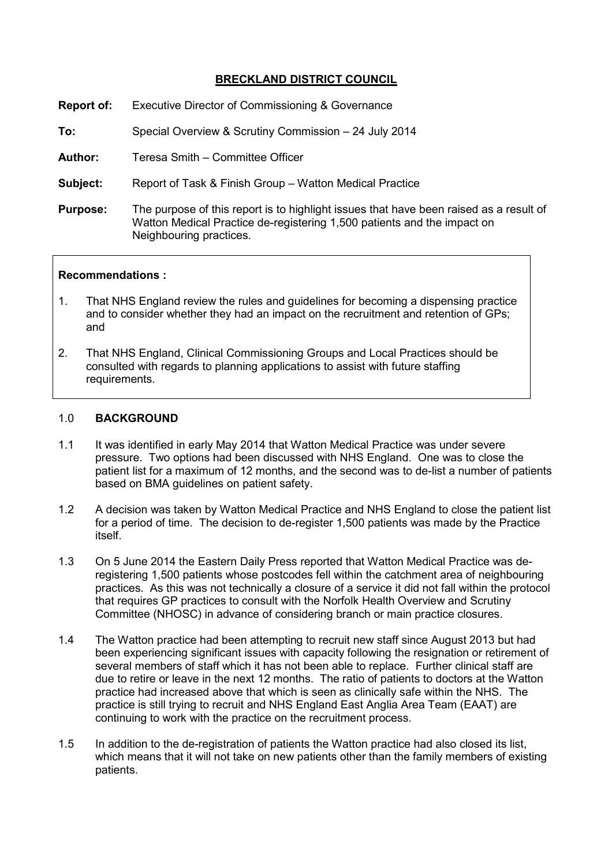# **BRECKLAND DISTRICT COUNCIL**

| <b>Report of:</b> | Executive Director of Commissioning & Governance |
|-------------------|--------------------------------------------------|
|-------------------|--------------------------------------------------|

**To:** Special Overview & Scrutiny Commission – 24 July 2014

**Author:** Teresa Smith – Committee Officer

**Subject:** Report of Task & Finish Group – Watton Medical Practice

**Purpose:** The purpose of this report is to highlight issues that have been raised as a result of Watton Medical Practice de-registering 1,500 patients and the impact on Neighbouring practices.

### **Recommendations :**

- 1. That NHS England review the rules and guidelines for becoming a dispensing practice and to consider whether they had an impact on the recruitment and retention of GPs; and
- 2. That NHS England, Clinical Commissioning Groups and Local Practices should be consulted with regards to planning applications to assist with future staffing requirements.

### 1.0 **BACKGROUND**

- 1.1 It was identified in early May 2014 that Watton Medical Practice was under severe pressure. Two options had been discussed with NHS England. One was to close the patient list for a maximum of 12 months, and the second was to de-list a number of patients based on BMA guidelines on patient safety.
- 1.2 A decision was taken by Watton Medical Practice and NHS England to close the patient list for a period of time. The decision to de-register 1,500 patients was made by the Practice itself.
- 1.3 On 5 June 2014 the Eastern Daily Press reported that Watton Medical Practice was deregistering 1,500 patients whose postcodes fell within the catchment area of neighbouring practices. As this was not technically a closure of a service it did not fall within the protocol that requires GP practices to consult with the Norfolk Health Overview and Scrutiny Committee (NHOSC) in advance of considering branch or main practice closures.
- 1.4 The Watton practice had been attempting to recruit new staff since August 2013 but had been experiencing significant issues with capacity following the resignation or retirement of several members of staff which it has not been able to replace. Further clinical staff are due to retire or leave in the next 12 months. The ratio of patients to doctors at the Watton practice had increased above that which is seen as clinically safe within the NHS. The practice is still trying to recruit and NHS England East Anglia Area Team (EAAT) are continuing to work with the practice on the recruitment process.
- 1.5 In addition to the de-registration of patients the Watton practice had also closed its list, which means that it will not take on new patients other than the family members of existing patients.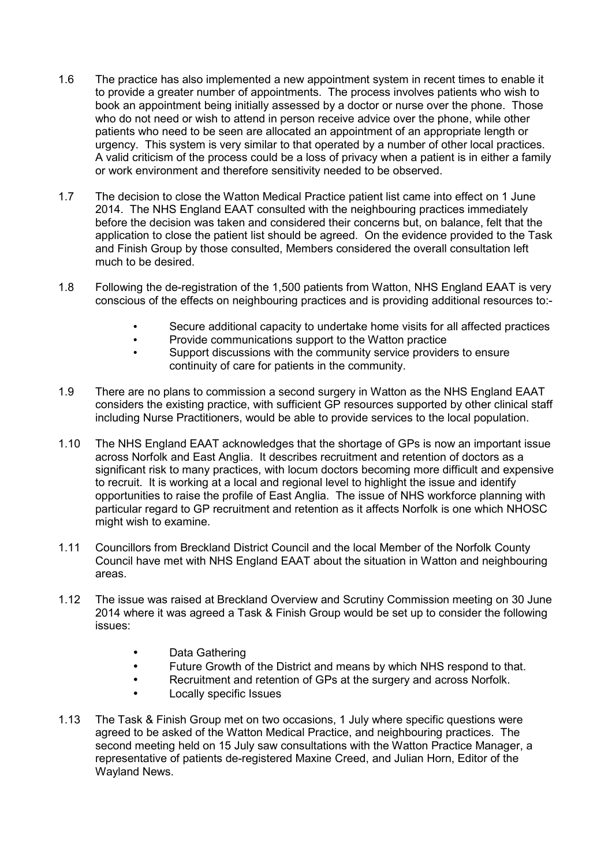- 1.6 The practice has also implemented a new appointment system in recent times to enable it to provide a greater number of appointments. The process involves patients who wish to book an appointment being initially assessed by a doctor or nurse over the phone. Those who do not need or wish to attend in person receive advice over the phone, while other patients who need to be seen are allocated an appointment of an appropriate length or urgency. This system is very similar to that operated by a number of other local practices. A valid criticism of the process could be a loss of privacy when a patient is in either a family or work environment and therefore sensitivity needed to be observed.
- 1.7 The decision to close the Watton Medical Practice patient list came into effect on 1 June 2014. The NHS England EAAT consulted with the neighbouring practices immediately before the decision was taken and considered their concerns but, on balance, felt that the application to close the patient list should be agreed. On the evidence provided to the Task and Finish Group by those consulted, Members considered the overall consultation left much to be desired.
- 1.8 Following the de-registration of the 1,500 patients from Watton, NHS England EAAT is very conscious of the effects on neighbouring practices and is providing additional resources to:-
	- Secure additional capacity to undertake home visits for all affected practices
	- Provide communications support to the Watton practice
	- Support discussions with the community service providers to ensure continuity of care for patients in the community.
- 1.9 There are no plans to commission a second surgery in Watton as the NHS England EAAT considers the existing practice, with sufficient GP resources supported by other clinical staff including Nurse Practitioners, would be able to provide services to the local population.
- 1.10 The NHS England EAAT acknowledges that the shortage of GPs is now an important issue across Norfolk and East Anglia. It describes recruitment and retention of doctors as a significant risk to many practices, with locum doctors becoming more difficult and expensive to recruit. It is working at a local and regional level to highlight the issue and identify opportunities to raise the profile of East Anglia. The issue of NHS workforce planning with particular regard to GP recruitment and retention as it affects Norfolk is one which NHOSC might wish to examine.
- 1.11 Councillors from Breckland District Council and the local Member of the Norfolk County Council have met with NHS England EAAT about the situation in Watton and neighbouring areas.
- 1.12 The issue was raised at Breckland Overview and Scrutiny Commission meeting on 30 June 2014 where it was agreed a Task & Finish Group would be set up to consider the following issues:
	- Data Gathering
	- Future Growth of the District and means by which NHS respond to that.
	- Recruitment and retention of GPs at the surgery and across Norfolk.
	- Locally specific Issues
- 1.13 The Task & Finish Group met on two occasions, 1 July where specific questions were agreed to be asked of the Watton Medical Practice, and neighbouring practices. The second meeting held on 15 July saw consultations with the Watton Practice Manager, a representative of patients de-registered Maxine Creed, and Julian Horn, Editor of the Wayland News.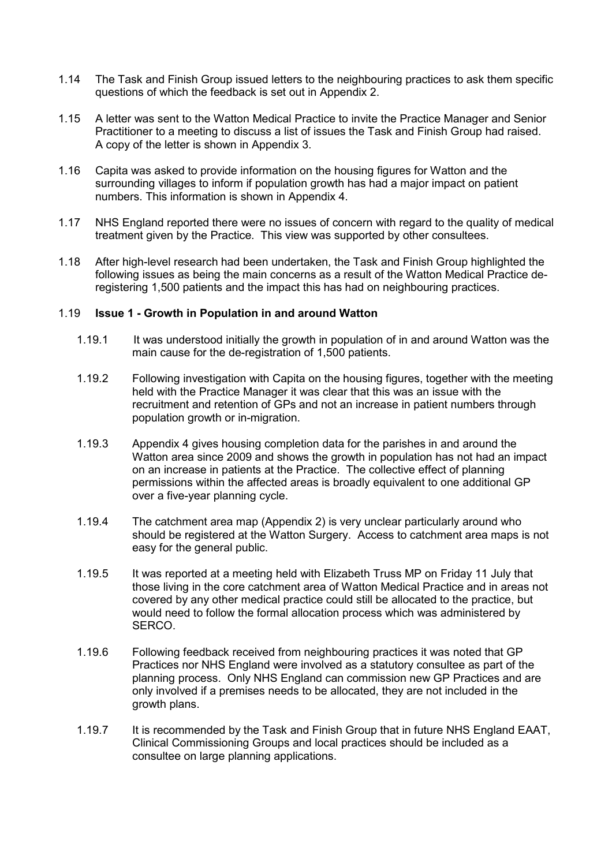- 1.14 The Task and Finish Group issued letters to the neighbouring practices to ask them specific questions of which the feedback is set out in Appendix 2.
- 1.15 A letter was sent to the Watton Medical Practice to invite the Practice Manager and Senior Practitioner to a meeting to discuss a list of issues the Task and Finish Group had raised. A copy of the letter is shown in Appendix 3.
- 1.16 Capita was asked to provide information on the housing figures for Watton and the surrounding villages to inform if population growth has had a major impact on patient numbers. This information is shown in Appendix 4.
- 1.17 NHS England reported there were no issues of concern with regard to the quality of medical treatment given by the Practice. This view was supported by other consultees.
- 1.18 After high-level research had been undertaken, the Task and Finish Group highlighted the following issues as being the main concerns as a result of the Watton Medical Practice deregistering 1,500 patients and the impact this has had on neighbouring practices.

### 1.19 **Issue 1 - Growth in Population in and around Watton**

- 1.19.1 It was understood initially the growth in population of in and around Watton was the main cause for the de-registration of 1,500 patients.
- 1.19.2 Following investigation with Capita on the housing figures, together with the meeting held with the Practice Manager it was clear that this was an issue with the recruitment and retention of GPs and not an increase in patient numbers through population growth or in-migration.
- 1.19.3 Appendix 4 gives housing completion data for the parishes in and around the Watton area since 2009 and shows the growth in population has not had an impact on an increase in patients at the Practice. The collective effect of planning permissions within the affected areas is broadly equivalent to one additional GP over a five-year planning cycle.
- 1.19.4 The catchment area map (Appendix 2) is very unclear particularly around who should be registered at the Watton Surgery. Access to catchment area maps is not easy for the general public.
- 1.19.5 It was reported at a meeting held with Elizabeth Truss MP on Friday 11 July that those living in the core catchment area of Watton Medical Practice and in areas not covered by any other medical practice could still be allocated to the practice, but would need to follow the formal allocation process which was administered by SERCO.
- 1.19.6 Following feedback received from neighbouring practices it was noted that GP Practices nor NHS England were involved as a statutory consultee as part of the planning process. Only NHS England can commission new GP Practices and are only involved if a premises needs to be allocated, they are not included in the growth plans.
- 1.19.7 It is recommended by the Task and Finish Group that in future NHS England EAAT, Clinical Commissioning Groups and local practices should be included as a consultee on large planning applications.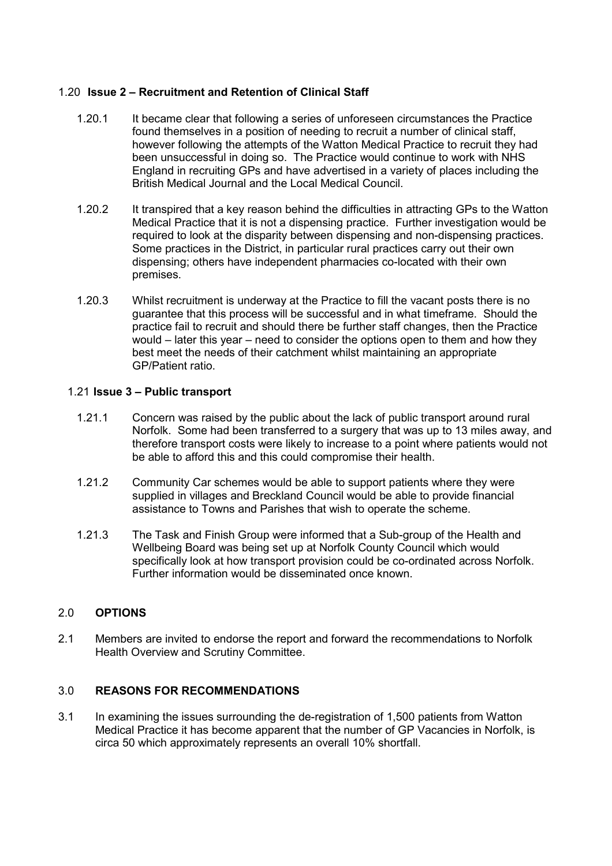## 1.20 **Issue 2 – Recruitment and Retention of Clinical Staff**

- 1.20.1 It became clear that following a series of unforeseen circumstances the Practice found themselves in a position of needing to recruit a number of clinical staff, however following the attempts of the Watton Medical Practice to recruit they had been unsuccessful in doing so. The Practice would continue to work with NHS England in recruiting GPs and have advertised in a variety of places including the British Medical Journal and the Local Medical Council.
- 1.20.2 It transpired that a key reason behind the difficulties in attracting GPs to the Watton Medical Practice that it is not a dispensing practice. Further investigation would be required to look at the disparity between dispensing and non-dispensing practices. Some practices in the District, in particular rural practices carry out their own dispensing; others have independent pharmacies co-located with their own premises.
- 1.20.3 Whilst recruitment is underway at the Practice to fill the vacant posts there is no guarantee that this process will be successful and in what timeframe. Should the practice fail to recruit and should there be further staff changes, then the Practice would – later this year – need to consider the options open to them and how they best meet the needs of their catchment whilst maintaining an appropriate GP/Patient ratio.

## 1.21 **Issue 3 – Public transport**

- 1.21.1 Concern was raised by the public about the lack of public transport around rural Norfolk. Some had been transferred to a surgery that was up to 13 miles away, and therefore transport costs were likely to increase to a point where patients would not be able to afford this and this could compromise their health.
- 1.21.2 Community Car schemes would be able to support patients where they were supplied in villages and Breckland Council would be able to provide financial assistance to Towns and Parishes that wish to operate the scheme.
- 1.21.3 The Task and Finish Group were informed that a Sub-group of the Health and Wellbeing Board was being set up at Norfolk County Council which would specifically look at how transport provision could be co-ordinated across Norfolk. Further information would be disseminated once known.

### 2.0 **OPTIONS**

2.1 Members are invited to endorse the report and forward the recommendations to Norfolk Health Overview and Scrutiny Committee.

### 3.0 **REASONS FOR RECOMMENDATIONS**

3.1 In examining the issues surrounding the de-registration of 1,500 patients from Watton Medical Practice it has become apparent that the number of GP Vacancies in Norfolk, is circa 50 which approximately represents an overall 10% shortfall.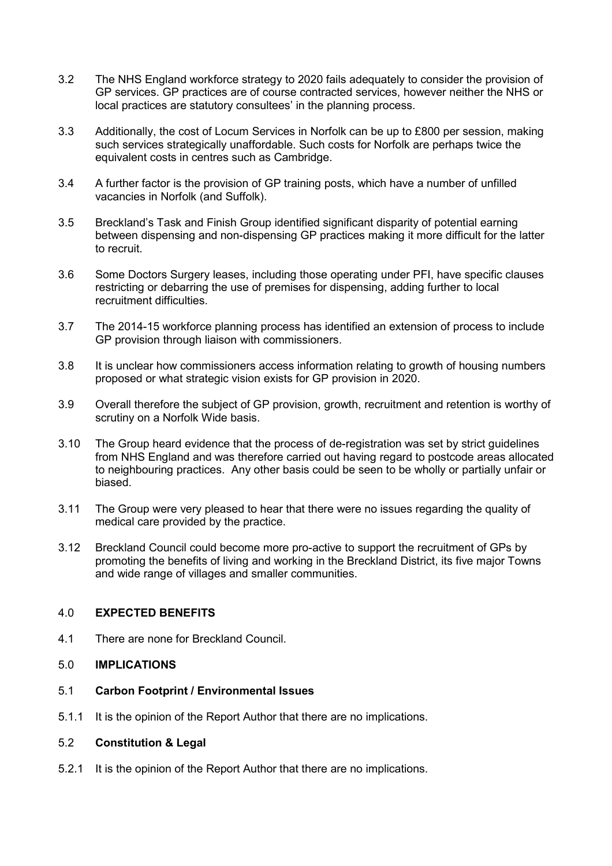- 3.2 The NHS England workforce strategy to 2020 fails adequately to consider the provision of GP services. GP practices are of course contracted services, however neither the NHS or local practices are statutory consultees' in the planning process.
- 3.3 Additionally, the cost of Locum Services in Norfolk can be up to £800 per session, making such services strategically unaffordable. Such costs for Norfolk are perhaps twice the equivalent costs in centres such as Cambridge.
- 3.4 A further factor is the provision of GP training posts, which have a number of unfilled vacancies in Norfolk (and Suffolk).
- 3.5 Breckland's Task and Finish Group identified significant disparity of potential earning between dispensing and non-dispensing GP practices making it more difficult for the latter to recruit.
- 3.6 Some Doctors Surgery leases, including those operating under PFI, have specific clauses restricting or debarring the use of premises for dispensing, adding further to local recruitment difficulties.
- 3.7 The 2014-15 workforce planning process has identified an extension of process to include GP provision through liaison with commissioners.
- 3.8 It is unclear how commissioners access information relating to growth of housing numbers proposed or what strategic vision exists for GP provision in 2020.
- 3.9 Overall therefore the subject of GP provision, growth, recruitment and retention is worthy of scrutiny on a Norfolk Wide basis.
- 3.10 The Group heard evidence that the process of de-registration was set by strict guidelines from NHS England and was therefore carried out having regard to postcode areas allocated to neighbouring practices. Any other basis could be seen to be wholly or partially unfair or biased.
- 3.11 The Group were very pleased to hear that there were no issues regarding the quality of medical care provided by the practice.
- 3.12 Breckland Council could become more pro-active to support the recruitment of GPs by promoting the benefits of living and working in the Breckland District, its five major Towns and wide range of villages and smaller communities.

#### 4.0 **EXPECTED BENEFITS**

- 4.1 There are none for Breckland Council.
- 5.0 **IMPLICATIONS**
- 5.1 **Carbon Footprint / Environmental Issues**
- 5.1.1 It is the opinion of the Report Author that there are no implications.

#### 5.2 **Constitution & Legal**

5.2.1 It is the opinion of the Report Author that there are no implications.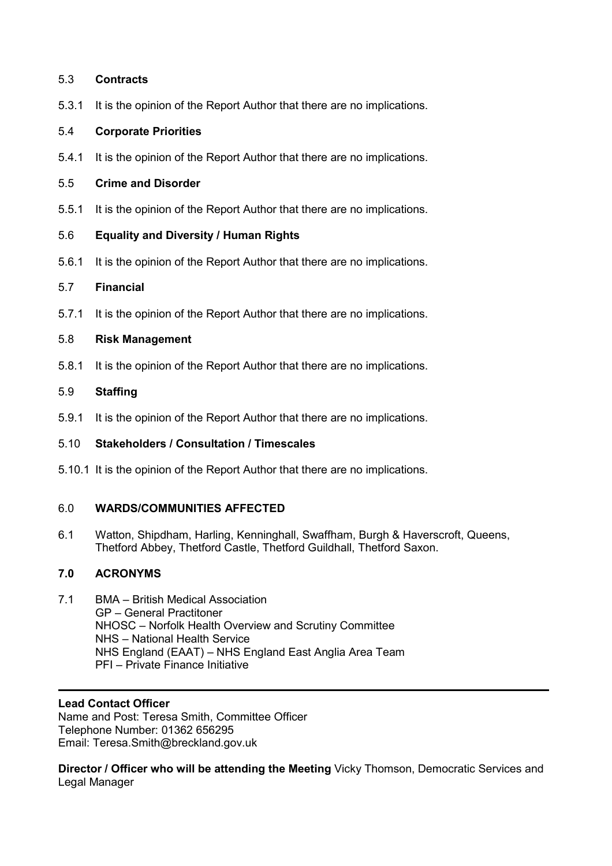### 5.3 **Contracts**

5.3.1 It is the opinion of the Report Author that there are no implications.

## 5.4 **Corporate Priorities**

5.4.1 It is the opinion of the Report Author that there are no implications.

### 5.5 **Crime and Disorder**

5.5.1 It is the opinion of the Report Author that there are no implications.

## 5.6 **Equality and Diversity / Human Rights**

5.6.1 It is the opinion of the Report Author that there are no implications.

## 5.7 **Financial**

5.7.1 It is the opinion of the Report Author that there are no implications.

## 5.8 **Risk Management**

5.8.1 It is the opinion of the Report Author that there are no implications.

## 5.9 **Staffing**

5.9.1 It is the opinion of the Report Author that there are no implications.

# 5.10 **Stakeholders / Consultation / Timescales**

5.10.1 It is the opinion of the Report Author that there are no implications.

# 6.0 **WARDS/COMMUNITIES AFFECTED**

6.1 Watton, Shipdham, Harling, Kenninghall, Swaffham, Burgh & Haverscroft, Queens, Thetford Abbey, Thetford Castle, Thetford Guildhall, Thetford Saxon.

# **7.0 ACRONYMS**

7.1 BMA – British Medical Association GP – General Practitoner NHOSC – Norfolk Health Overview and Scrutiny Committee NHS – National Health Service NHS England (EAAT) – NHS England East Anglia Area Team PFI – Private Finance Initiative

# **Lead Contact Officer**

Name and Post: Teresa Smith, Committee Officer Telephone Number: 01362 656295 Email: Teresa.Smith@breckland.gov.uk

**Director / Officer who will be attending the Meeting** Vicky Thomson, Democratic Services and Legal Manager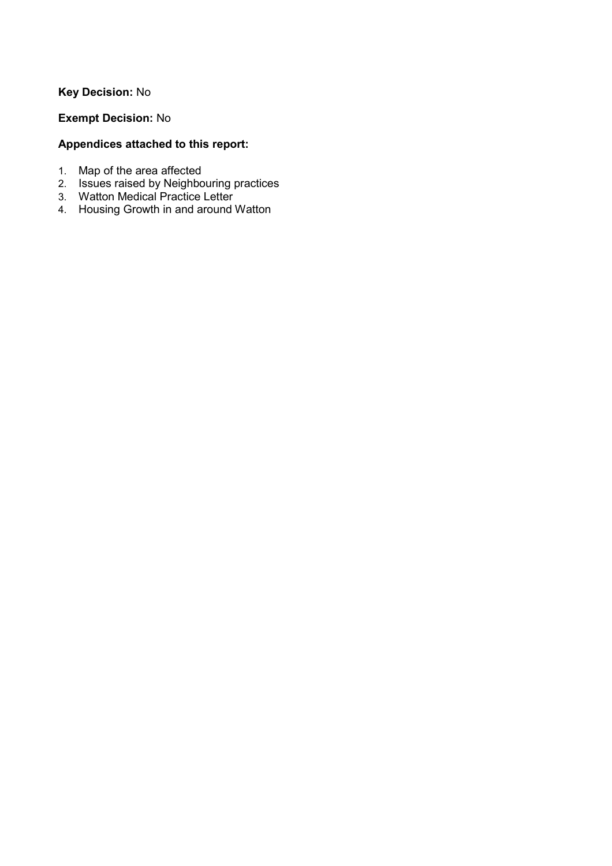# **Key Decision:** No

## **Exempt Decision:** No

# **Appendices attached to this report:**

- 1. Map of the area affected
- 2. Issues raised by Neighbouring practices
- 3. Watton Medical Practice Letter
- 4. Housing Growth in and around Watton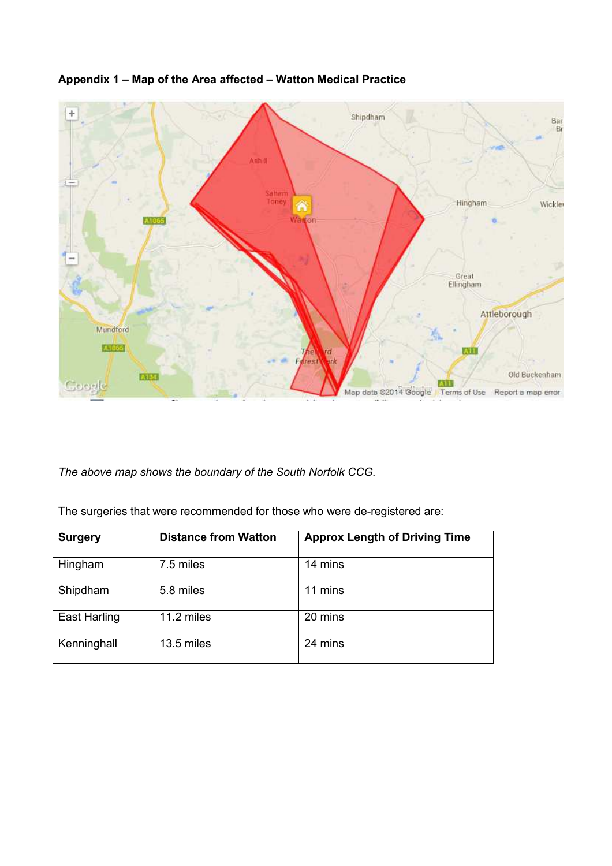

# **Appendix 1 – Map of the Area affected – Watton Medical Practice**

*The above map shows the boundary of the South Norfolk CCG.* 

The surgeries that were recommended for those who were de-registered are:

| <b>Surgery</b>      | <b>Distance from Watton</b> | <b>Approx Length of Driving Time</b> |
|---------------------|-----------------------------|--------------------------------------|
| Hingham             | 7.5 miles                   | 14 mins                              |
| Shipdham            | 5.8 miles                   | 11 mins                              |
| <b>East Harling</b> | 11.2 miles                  | 20 mins                              |
| Kenninghall         | 13.5 miles                  | 24 mins                              |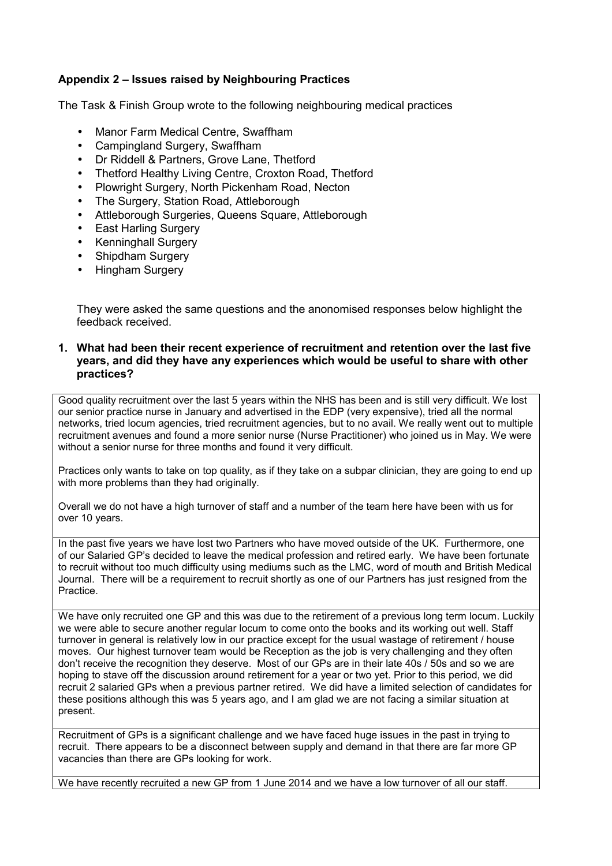## **Appendix 2 – Issues raised by Neighbouring Practices**

The Task & Finish Group wrote to the following neighbouring medical practices

- Manor Farm Medical Centre, Swaffham
- Campingland Surgery, Swaffham
- Dr Riddell & Partners, Grove Lane, Thetford
- Thetford Healthy Living Centre, Croxton Road, Thetford
- Plowright Surgery, North Pickenham Road, Necton
- The Surgery, Station Road, Attleborough
- Attleborough Surgeries, Queens Square, Attleborough
- East Harling Surgery
- Kenninghall Surgery
- Shipdham Surgery
- Hingham Surgery

They were asked the same questions and the anonomised responses below highlight the feedback received.

#### **1. What had been their recent experience of recruitment and retention over the last five years, and did they have any experiences which would be useful to share with other practices?**

Good quality recruitment over the last 5 years within the NHS has been and is still very difficult. We lost our senior practice nurse in January and advertised in the EDP (very expensive), tried all the normal networks, tried locum agencies, tried recruitment agencies, but to no avail. We really went out to multiple recruitment avenues and found a more senior nurse (Nurse Practitioner) who joined us in May. We were without a senior nurse for three months and found it very difficult.

Practices only wants to take on top quality, as if they take on a subpar clinician, they are going to end up with more problems than they had originally.

Overall we do not have a high turnover of staff and a number of the team here have been with us for over 10 years.

In the past five years we have lost two Partners who have moved outside of the UK. Furthermore, one of our Salaried GP's decided to leave the medical profession and retired early. We have been fortunate to recruit without too much difficulty using mediums such as the LMC, word of mouth and British Medical Journal. There will be a requirement to recruit shortly as one of our Partners has just resigned from the Practice.

We have only recruited one GP and this was due to the retirement of a previous long term locum. Luckily we were able to secure another regular locum to come onto the books and its working out well. Staff turnover in general is relatively low in our practice except for the usual wastage of retirement / house moves. Our highest turnover team would be Reception as the job is very challenging and they often don't receive the recognition they deserve. Most of our GPs are in their late 40s / 50s and so we are hoping to stave off the discussion around retirement for a year or two yet. Prior to this period, we did recruit 2 salaried GPs when a previous partner retired. We did have a limited selection of candidates for these positions although this was 5 years ago, and I am glad we are not facing a similar situation at present.

Recruitment of GPs is a significant challenge and we have faced huge issues in the past in trying to recruit. There appears to be a disconnect between supply and demand in that there are far more GP vacancies than there are GPs looking for work.

We have recently recruited a new GP from 1 June 2014 and we have a low turnover of all our staff.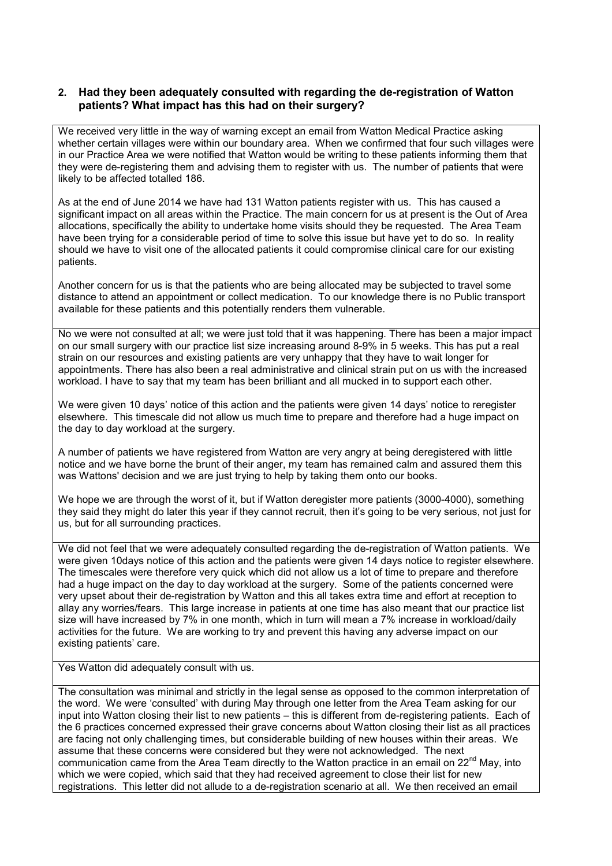### **2. Had they been adequately consulted with regarding the de-registration of Watton patients? What impact has this had on their surgery?**

We received very little in the way of warning except an email from Watton Medical Practice asking whether certain villages were within our boundary area. When we confirmed that four such villages were in our Practice Area we were notified that Watton would be writing to these patients informing them that they were de-registering them and advising them to register with us. The number of patients that were likely to be affected totalled 186.

As at the end of June 2014 we have had 131 Watton patients register with us. This has caused a significant impact on all areas within the Practice. The main concern for us at present is the Out of Area allocations, specifically the ability to undertake home visits should they be requested. The Area Team have been trying for a considerable period of time to solve this issue but have yet to do so. In reality should we have to visit one of the allocated patients it could compromise clinical care for our existing patients.

Another concern for us is that the patients who are being allocated may be subjected to travel some distance to attend an appointment or collect medication. To our knowledge there is no Public transport available for these patients and this potentially renders them vulnerable.

No we were not consulted at all; we were just told that it was happening. There has been a major impact on our small surgery with our practice list size increasing around 8-9% in 5 weeks. This has put a real strain on our resources and existing patients are very unhappy that they have to wait longer for appointments. There has also been a real administrative and clinical strain put on us with the increased workload. I have to say that my team has been brilliant and all mucked in to support each other.

We were given 10 days' notice of this action and the patients were given 14 days' notice to reregister elsewhere. This timescale did not allow us much time to prepare and therefore had a huge impact on the day to day workload at the surgery.

A number of patients we have registered from Watton are very angry at being deregistered with little notice and we have borne the brunt of their anger, my team has remained calm and assured them this was Wattons' decision and we are just trying to help by taking them onto our books.

We hope we are through the worst of it, but if Watton deregister more patients (3000-4000), something they said they might do later this year if they cannot recruit, then it's going to be very serious, not just for us, but for all surrounding practices.

We did not feel that we were adequately consulted regarding the de-registration of Watton patients. We were given 10days notice of this action and the patients were given 14 days notice to register elsewhere. The timescales were therefore very quick which did not allow us a lot of time to prepare and therefore had a huge impact on the day to day workload at the surgery. Some of the patients concerned were very upset about their de-registration by Watton and this all takes extra time and effort at reception to allay any worries/fears. This large increase in patients at one time has also meant that our practice list size will have increased by 7% in one month, which in turn will mean a 7% increase in workload/daily activities for the future. We are working to try and prevent this having any adverse impact on our existing patients' care.

Yes Watton did adequately consult with us.

The consultation was minimal and strictly in the legal sense as opposed to the common interpretation of the word. We were 'consulted' with during May through one letter from the Area Team asking for our input into Watton closing their list to new patients – this is different from de-registering patients. Each of the 6 practices concerned expressed their grave concerns about Watton closing their list as all practices are facing not only challenging times, but considerable building of new houses within their areas. We assume that these concerns were considered but they were not acknowledged. The next communication came from the Area Team directly to the Watton practice in an email on  $22<sup>nd</sup>$  May, into which we were copied, which said that they had received agreement to close their list for new registrations. This letter did not allude to a de-registration scenario at all. We then received an email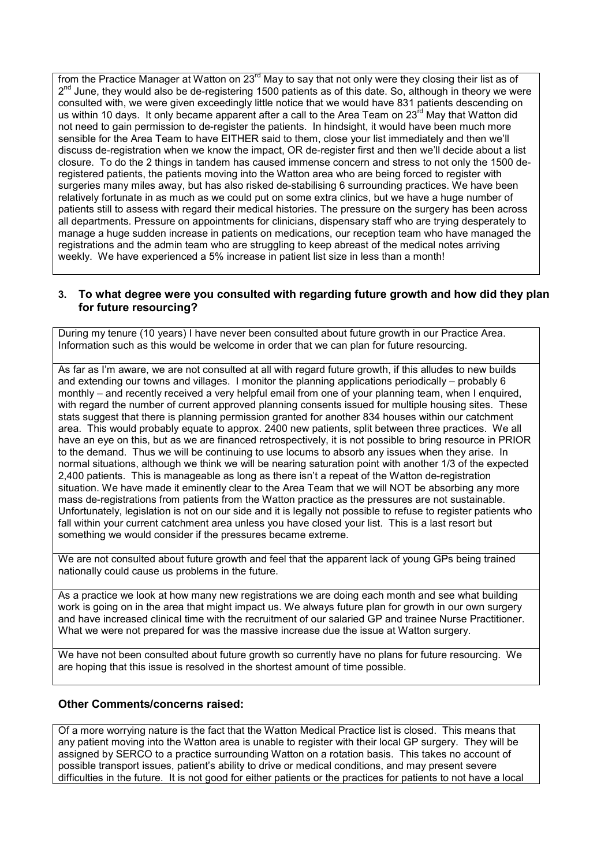from the Practice Manager at Watton on 23<sup>rd</sup> May to say that not only were they closing their list as of 2<sup>nd</sup> June, they would also be de-registering 1500 patients as of this date. So, although in theory we were consulted with, we were given exceedingly little notice that we would have 831 patients descending on us within 10 days. It only became apparent after a call to the Area Team on 23<sup>rd</sup> May that Watton did not need to gain permission to de-register the patients. In hindsight, it would have been much more sensible for the Area Team to have EITHER said to them, close your list immediately and then we'll discuss de-registration when we know the impact, OR de-register first and then we'll decide about a list closure. To do the 2 things in tandem has caused immense concern and stress to not only the 1500 deregistered patients, the patients moving into the Watton area who are being forced to register with surgeries many miles away, but has also risked de-stabilising 6 surrounding practices. We have been relatively fortunate in as much as we could put on some extra clinics, but we have a huge number of patients still to assess with regard their medical histories. The pressure on the surgery has been across all departments. Pressure on appointments for clinicians, dispensary staff who are trying desperately to manage a huge sudden increase in patients on medications, our reception team who have managed the registrations and the admin team who are struggling to keep abreast of the medical notes arriving weekly. We have experienced a 5% increase in patient list size in less than a month!

### **3. To what degree were you consulted with regarding future growth and how did they plan for future resourcing?**

During my tenure (10 years) I have never been consulted about future growth in our Practice Area. Information such as this would be welcome in order that we can plan for future resourcing.

As far as I'm aware, we are not consulted at all with regard future growth, if this alludes to new builds and extending our towns and villages. I monitor the planning applications periodically – probably 6 monthly – and recently received a very helpful email from one of your planning team, when I enquired, with regard the number of current approved planning consents issued for multiple housing sites. These stats suggest that there is planning permission granted for another 834 houses within our catchment area. This would probably equate to approx. 2400 new patients, split between three practices. We all have an eye on this, but as we are financed retrospectively, it is not possible to bring resource in PRIOR to the demand. Thus we will be continuing to use locums to absorb any issues when they arise. In normal situations, although we think we will be nearing saturation point with another 1/3 of the expected 2,400 patients. This is manageable as long as there isn't a repeat of the Watton de-registration situation. We have made it eminently clear to the Area Team that we will NOT be absorbing any more mass de-registrations from patients from the Watton practice as the pressures are not sustainable. Unfortunately, legislation is not on our side and it is legally not possible to refuse to register patients who fall within your current catchment area unless you have closed your list. This is a last resort but something we would consider if the pressures became extreme.

We are not consulted about future growth and feel that the apparent lack of young GPs being trained nationally could cause us problems in the future.

As a practice we look at how many new registrations we are doing each month and see what building work is going on in the area that might impact us. We always future plan for growth in our own surgery and have increased clinical time with the recruitment of our salaried GP and trainee Nurse Practitioner. What we were not prepared for was the massive increase due the issue at Watton surgery.

We have not been consulted about future growth so currently have no plans for future resourcing. We are hoping that this issue is resolved in the shortest amount of time possible.

### **Other Comments/concerns raised:**

Of a more worrying nature is the fact that the Watton Medical Practice list is closed. This means that any patient moving into the Watton area is unable to register with their local GP surgery. They will be assigned by SERCO to a practice surrounding Watton on a rotation basis. This takes no account of possible transport issues, patient's ability to drive or medical conditions, and may present severe difficulties in the future. It is not good for either patients or the practices for patients to not have a local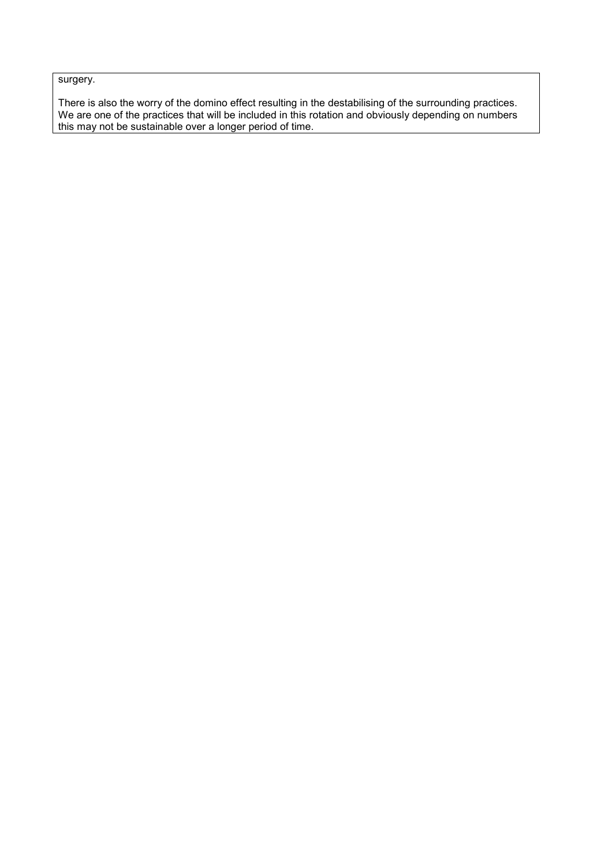surgery.

There is also the worry of the domino effect resulting in the destabilising of the surrounding practices. We are one of the practices that will be included in this rotation and obviously depending on numbers this may not be sustainable over a longer period of time.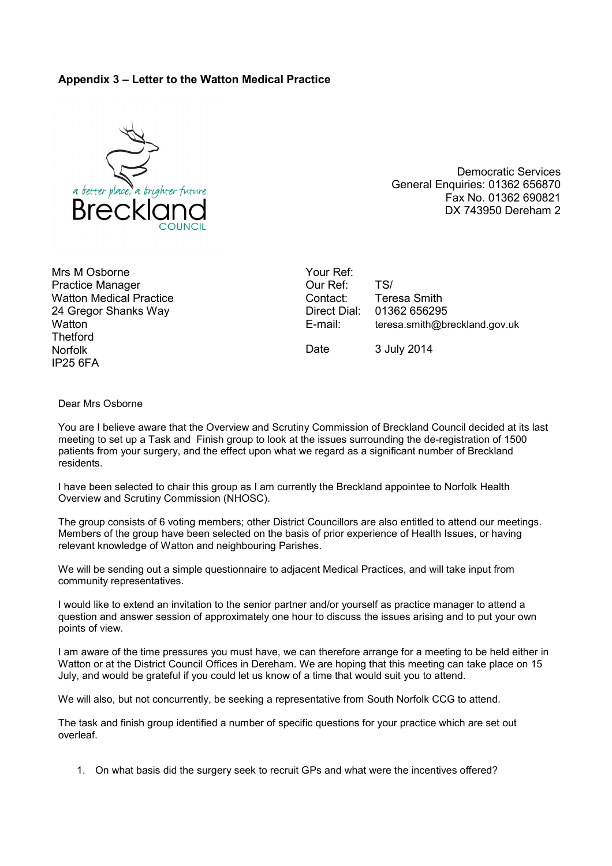### **Appendix 3 – Letter to the Watton Medical Practice**



Democratic Services General Enquiries: 01362 656870 Fax No. 01362 690821 DX 743950 Dereham 2

Mrs M Osborne Practice Manager Watton Medical Practice 24 Gregor Shanks Way **Watton Thetford** Norfolk IP25 6FA

Your Ref: Our Ref: TS/ Contact: Teresa Smith<br>Direct Dial: 01362 65629 01362 656295 E-mail: teresa.smith@breckland.gov.uk Date 3 July 2014

Dear Mrs Osborne

You are I believe aware that the Overview and Scrutiny Commission of Breckland Council decided at its last meeting to set up a Task and Finish group to look at the issues surrounding the de-registration of 1500 patients from your surgery, and the effect upon what we regard as a significant number of Breckland residents.

I have been selected to chair this group as I am currently the Breckland appointee to Norfolk Health Overview and Scrutiny Commission (NHOSC).

The group consists of 6 voting members; other District Councillors are also entitled to attend our meetings. Members of the group have been selected on the basis of prior experience of Health Issues, or having relevant knowledge of Watton and neighbouring Parishes.

We will be sending out a simple questionnaire to adjacent Medical Practices, and will take input from community representatives.

I would like to extend an invitation to the senior partner and/or yourself as practice manager to attend a question and answer session of approximately one hour to discuss the issues arising and to put your own points of view.

I am aware of the time pressures you must have, we can therefore arrange for a meeting to be held either in Watton or at the District Council Offices in Dereham. We are hoping that this meeting can take place on 15 July, and would be grateful if you could let us know of a time that would suit you to attend.

We will also, but not concurrently, be seeking a representative from South Norfolk CCG to attend.

The task and finish group identified a number of specific questions for your practice which are set out overleaf.

1. On what basis did the surgery seek to recruit GPs and what were the incentives offered?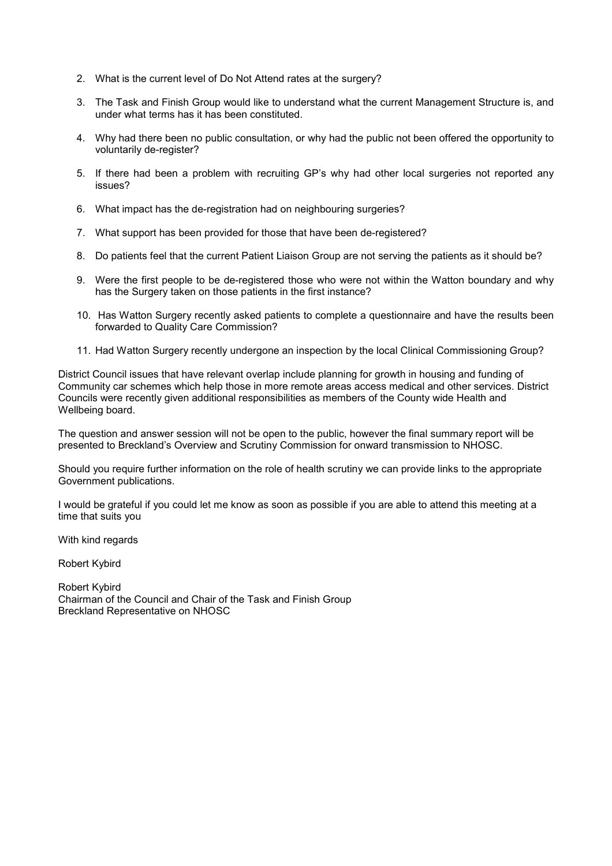- 2. What is the current level of Do Not Attend rates at the surgery?
- 3. The Task and Finish Group would like to understand what the current Management Structure is, and under what terms has it has been constituted.
- 4. Why had there been no public consultation, or why had the public not been offered the opportunity to voluntarily de-register?
- 5. If there had been a problem with recruiting GP's why had other local surgeries not reported any issues?
- 6. What impact has the de-registration had on neighbouring surgeries?
- 7. What support has been provided for those that have been de-registered?
- 8. Do patients feel that the current Patient Liaison Group are not serving the patients as it should be?
- 9. Were the first people to be de-registered those who were not within the Watton boundary and why has the Surgery taken on those patients in the first instance?
- 10. Has Watton Surgery recently asked patients to complete a questionnaire and have the results been forwarded to Quality Care Commission?
- 11. Had Watton Surgery recently undergone an inspection by the local Clinical Commissioning Group?

District Council issues that have relevant overlap include planning for growth in housing and funding of Community car schemes which help those in more remote areas access medical and other services. District Councils were recently given additional responsibilities as members of the County wide Health and Wellbeing board.

The question and answer session will not be open to the public, however the final summary report will be presented to Breckland's Overview and Scrutiny Commission for onward transmission to NHOSC.

Should you require further information on the role of health scrutiny we can provide links to the appropriate Government publications.

I would be grateful if you could let me know as soon as possible if you are able to attend this meeting at a time that suits you

With kind regards

Robert Kybird

Robert Kybird Chairman of the Council and Chair of the Task and Finish Group Breckland Representative on NHOSC